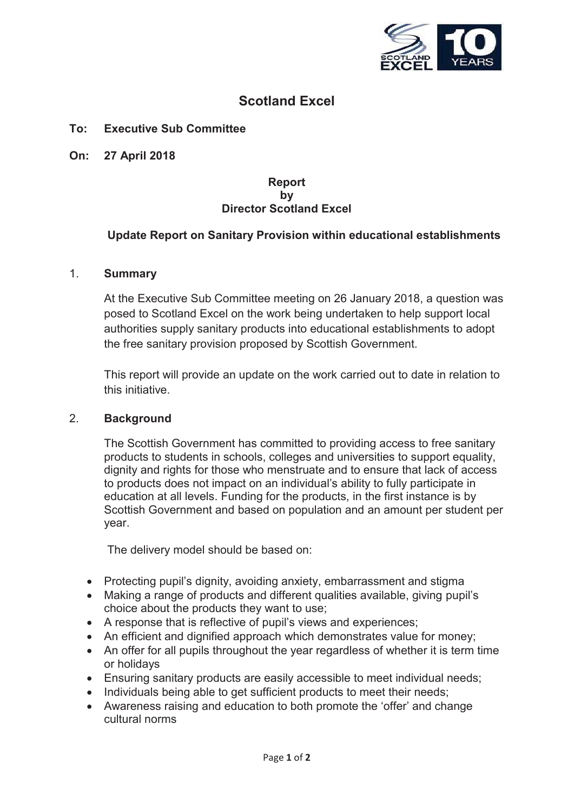

# **Scotland Excel**

### **To: Executive Sub Committee**

**On: 27 April 2018**

#### **Report by Director Scotland Excel**

## **Update Report on Sanitary Provision within educational establishments**

#### 1. **Summary**

At the Executive Sub Committee meeting on 26 January 2018, a question was posed to Scotland Excel on the work being undertaken to help support local authorities supply sanitary products into educational establishments to adopt the free sanitary provision proposed by Scottish Government.

This report will provide an update on the work carried out to date in relation to this initiative.

#### 2. **Background**

The Scottish Government has committed to providing access to free sanitary products to students in schools, colleges and universities to support equality, dignity and rights for those who menstruate and to ensure that lack of access to products does not impact on an individual's ability to fully participate in education at all levels. Funding for the products, in the first instance is by Scottish Government and based on population and an amount per student per year.

The delivery model should be based on:

- Protecting pupil's dignity, avoiding anxiety, embarrassment and stigma
- Making a range of products and different qualities available, giving pupil's choice about the products they want to use;
- A response that is reflective of pupil's views and experiences;
- An efficient and dignified approach which demonstrates value for money;
- An offer for all pupils throughout the year regardless of whether it is term time or holidays
- Ensuring sanitary products are easily accessible to meet individual needs;
- Individuals being able to get sufficient products to meet their needs;
- Awareness raising and education to both promote the 'offer' and change cultural norms